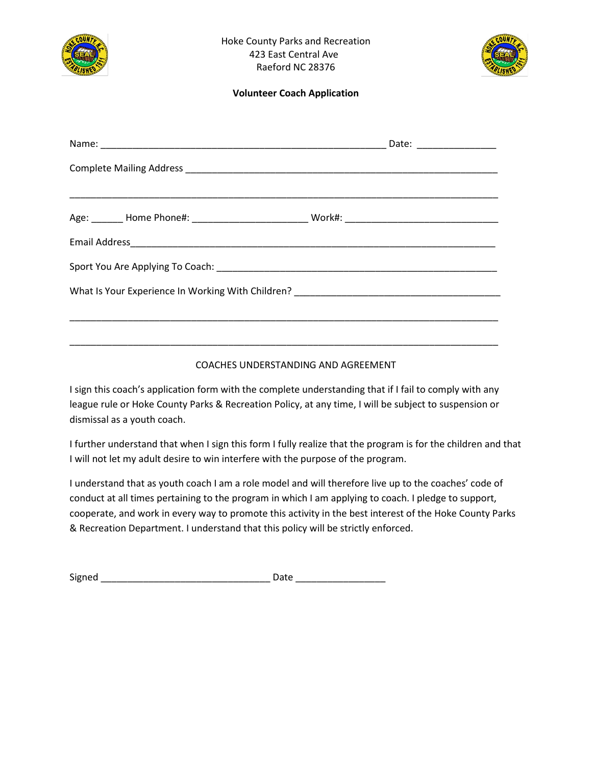



| Date: _________________ |
|-------------------------|
|                         |
|                         |
|                         |
|                         |
|                         |
|                         |
|                         |

#### COACHES UNDERSTANDING AND AGREEMENT

I sign this coach's application form with the complete understanding that if I fail to comply with any league rule or Hoke County Parks & Recreation Policy, at any time, I will be subject to suspension or dismissal as a youth coach.

I further understand that when I sign this form I fully realize that the program is for the children and that I will not let my adult desire to win interfere with the purpose of the program.

I understand that as youth coach I am a role model and will therefore live up to the coaches' code of conduct at all times pertaining to the program in which I am applying to coach. I pledge to support, cooperate, and work in every way to promote this activity in the best interest of the Hoke County Parks & Recreation Department. I understand that this policy will be strictly enforced.

| Signed |  |
|--------|--|
|        |  |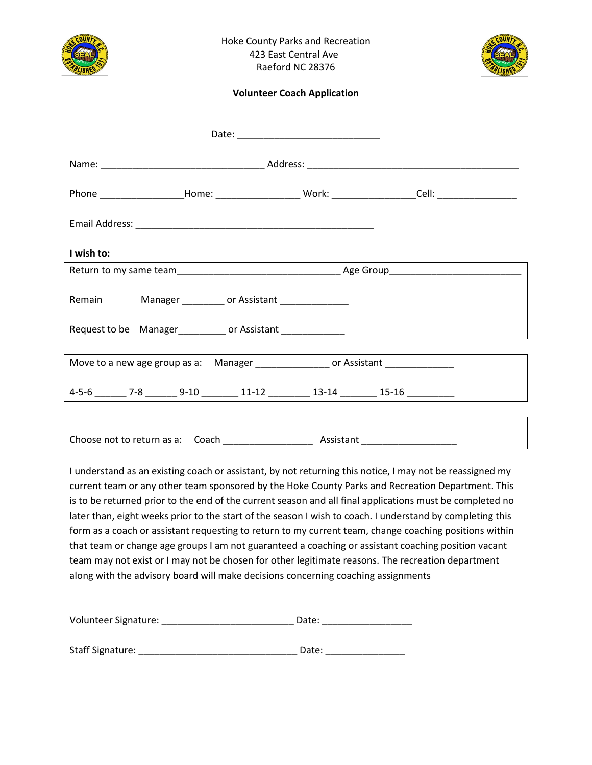



|            |  |                                                                                                                                                                                                                                            |  | Phone ____________________Home: ________________________Work: ___________________Cell: __________________ |
|------------|--|--------------------------------------------------------------------------------------------------------------------------------------------------------------------------------------------------------------------------------------------|--|-----------------------------------------------------------------------------------------------------------|
|            |  |                                                                                                                                                                                                                                            |  |                                                                                                           |
| I wish to: |  |                                                                                                                                                                                                                                            |  |                                                                                                           |
|            |  |                                                                                                                                                                                                                                            |  |                                                                                                           |
|            |  | Remain Manager __________ or Assistant _____________                                                                                                                                                                                       |  |                                                                                                           |
|            |  | Request to be Manager<br><u>Contractor</u> or Assistant <u>Contractor and Contract and Contract and Contract and Contract and Contract and Contract and Contract and Contract and Contract and Contract and Contract and Contract and </u> |  |                                                                                                           |
|            |  |                                                                                                                                                                                                                                            |  |                                                                                                           |
|            |  | Move to a new age group as a: Manager ________________ or Assistant _____________                                                                                                                                                          |  |                                                                                                           |
|            |  |                                                                                                                                                                                                                                            |  | $4-5-6$ $7-8$ $9-10$ $11-12$ $13-14$ $13-16$ $15-16$                                                      |
|            |  |                                                                                                                                                                                                                                            |  |                                                                                                           |
|            |  |                                                                                                                                                                                                                                            |  |                                                                                                           |

I understand as an existing coach or assistant, by not returning this notice, I may not be reassigned my current team or any other team sponsored by the Hoke County Parks and Recreation Department. This is to be returned prior to the end of the current season and all final applications must be completed no later than, eight weeks prior to the start of the season I wish to coach. I understand by completing this form as a coach or assistant requesting to return to my current team, change coaching positions within that team or change age groups I am not guaranteed a coaching or assistant coaching position vacant team may not exist or I may not be chosen for other legitimate reasons. The recreation department along with the advisory board will make decisions concerning coaching assignments

| Volunteer Signature: | Date: |  |
|----------------------|-------|--|
|                      |       |  |

| <b>Staff Signature:</b> | Date: |  |
|-------------------------|-------|--|
|                         |       |  |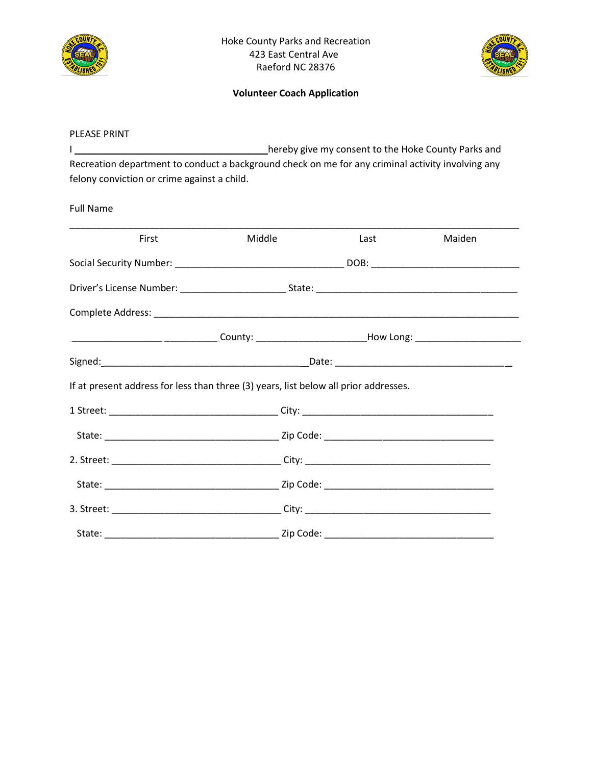



#### PLEASE PRINT

I \_\_\_\_\_\_\_\_\_\_\_\_\_\_\_\_\_\_\_\_\_\_\_\_\_\_\_\_\_\_\_\_\_\_\_\_ hereby give my consent to the Hoke County Parks and Recreation department to conduct a background check on me for any criminal activity involving any felony conviction or crime against a child.

Full Name

| First                                                                                                | Middle | Last | Maiden |
|------------------------------------------------------------------------------------------------------|--------|------|--------|
|                                                                                                      |        |      |        |
|                                                                                                      |        |      |        |
|                                                                                                      |        |      |        |
| _________________________________County: _________________________How Long: ________________________ |        |      |        |
|                                                                                                      |        |      |        |
| If at present address for less than three (3) years, list below all prior addresses.                 |        |      |        |
| 1 Street: __________________________________City: ______________________________                     |        |      |        |
|                                                                                                      |        |      |        |
|                                                                                                      |        |      |        |
|                                                                                                      |        |      |        |
|                                                                                                      |        |      |        |
|                                                                                                      |        |      |        |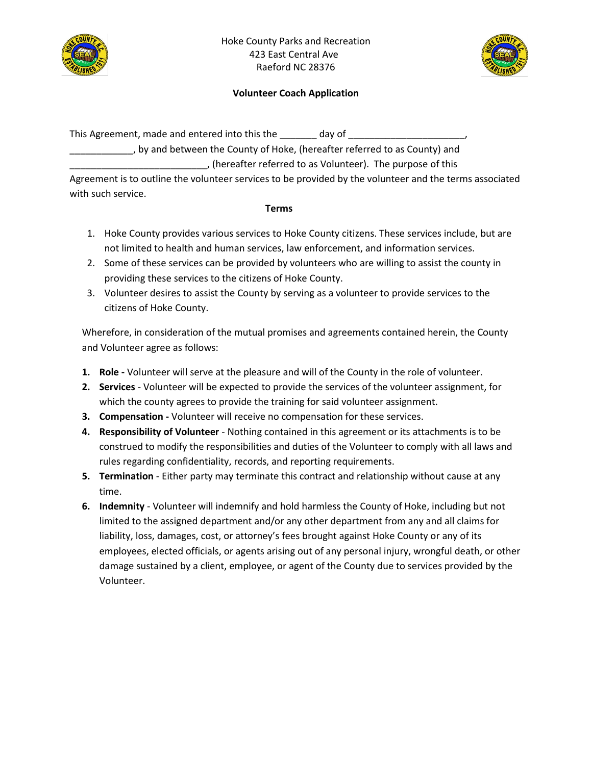



This Agreement, made and entered into this the \_\_\_\_\_\_\_\_\_ day of \_\_\_\_\_\_\_\_\_\_\_\_, by and between the County of Hoke, (hereafter referred to as County) and \_\_\_\_\_\_\_\_\_\_\_\_\_\_\_\_\_\_\_\_\_\_\_\_\_\_, (hereafter referred to as Volunteer). The purpose of this

Agreement is to outline the volunteer services to be provided by the volunteer and the terms associated with such service.

### **Terms**

- 1. Hoke County provides various services to Hoke County citizens. These services include, but are not limited to health and human services, law enforcement, and information services.
- 2. Some of these services can be provided by volunteers who are willing to assist the county in providing these services to the citizens of Hoke County.
- 3. Volunteer desires to assist the County by serving as a volunteer to provide services to the citizens of Hoke County.

Wherefore, in consideration of the mutual promises and agreements contained herein, the County and Volunteer agree as follows:

- **1. Role -** Volunteer will serve at the pleasure and will of the County in the role of volunteer.
- **2. Services**  Volunteer will be expected to provide the services of the volunteer assignment, for which the county agrees to provide the training for said volunteer assignment.
- **3. Compensation -** Volunteer will receive no compensation for these services.
- **4. Responsibility of Volunteer** Nothing contained in this agreement or its attachments is to be construed to modify the responsibilities and duties of the Volunteer to comply with all laws and rules regarding confidentiality, records, and reporting requirements.
- **5. Termination** Either party may terminate this contract and relationship without cause at any time.
- **6. Indemnity** Volunteer will indemnify and hold harmless the County of Hoke, including but not limited to the assigned department and/or any other department from any and all claims for liability, loss, damages, cost, or attorney's fees brought against Hoke County or any of its employees, elected officials, or agents arising out of any personal injury, wrongful death, or other damage sustained by a client, employee, or agent of the County due to services provided by the Volunteer.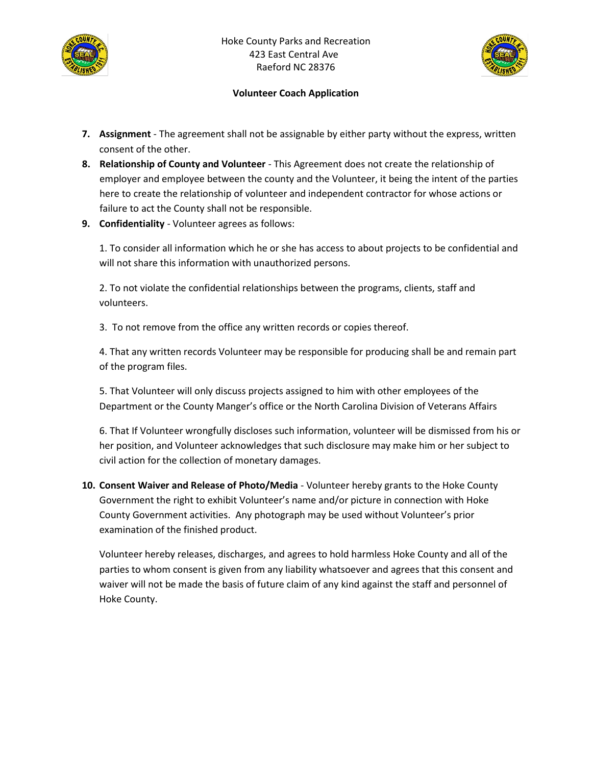



- **7. Assignment** The agreement shall not be assignable by either party without the express, written consent of the other.
- **8. Relationship of County and Volunteer** This Agreement does not create the relationship of employer and employee between the county and the Volunteer, it being the intent of the parties here to create the relationship of volunteer and independent contractor for whose actions or failure to act the County shall not be responsible.
- **9. Confidentiality** Volunteer agrees as follows:

1. To consider all information which he or she has access to about projects to be confidential and will not share this information with unauthorized persons.

2. To not violate the confidential relationships between the programs, clients, staff and volunteers.

3. To not remove from the office any written records or copies thereof.

4. That any written records Volunteer may be responsible for producing shall be and remain part of the program files.

5. That Volunteer will only discuss projects assigned to him with other employees of the Department or the County Manger's office or the North Carolina Division of Veterans Affairs

6. That If Volunteer wrongfully discloses such information, volunteer will be dismissed from his or her position, and Volunteer acknowledges that such disclosure may make him or her subject to civil action for the collection of monetary damages.

**10. Consent Waiver and Release of Photo/Media** - Volunteer hereby grants to the Hoke County Government the right to exhibit Volunteer's name and/or picture in connection with Hoke County Government activities. Any photograph may be used without Volunteer's prior examination of the finished product.

Volunteer hereby releases, discharges, and agrees to hold harmless Hoke County and all of the parties to whom consent is given from any liability whatsoever and agrees that this consent and waiver will not be made the basis of future claim of any kind against the staff and personnel of Hoke County.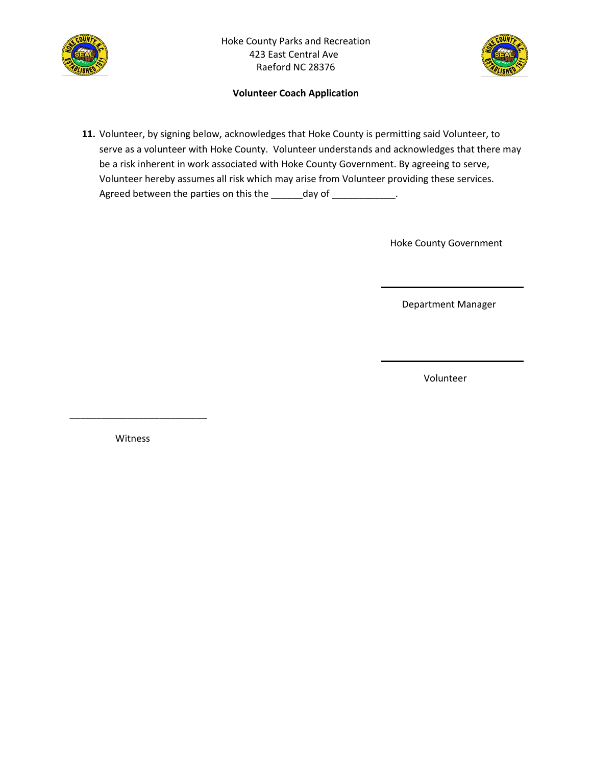



**11.** Volunteer, by signing below, acknowledges that Hoke County is permitting said Volunteer, to serve as a volunteer with Hoke County. Volunteer understands and acknowledges that there may be a risk inherent in work associated with Hoke County Government. By agreeing to serve, Volunteer hereby assumes all risk which may arise from Volunteer providing these services. Agreed between the parties on this the \_\_\_\_\_\_day of \_\_\_\_\_\_\_\_\_\_\_\_.

Hoke County Government

Department Manager

Volunteer

Witness

\_\_\_\_\_\_\_\_\_\_\_\_\_\_\_\_\_\_\_\_\_\_\_\_\_\_